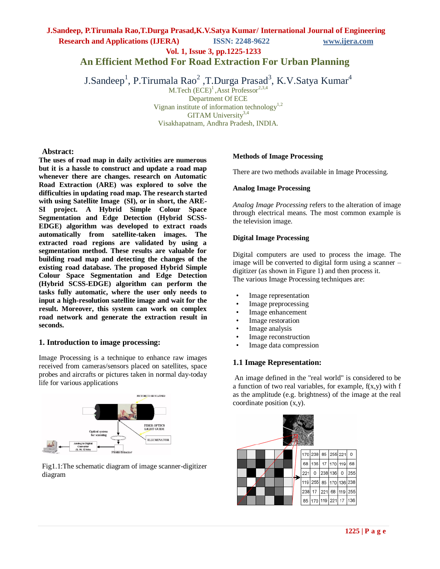# **J.Sandeep, P.Tirumala Rao,T.Durga Prasad,K.V.Satya Kumar/ International Journal of Engineering**

**Research and Applications (IJERA) ISSN: 2248-9622 www.ijera.com**

**Vol. 1, Issue 3, pp.1225-1233**

**An Efficient Method For Road Extraction For Urban Planning**

J.Sandeep<sup>1</sup>, P.Tirumala Rao<sup>2</sup> ,T.Durga Prasad<sup>3</sup>, K.V.Satya Kumar<sup>4</sup>

M.Tech  $(ECE)^1$ , Asst Professor<sup>2,3,4</sup> Department Of ECE

Vignan institute of information technology<sup>1,2</sup>

GITAM University<sup>3,4</sup>

Visakhapatnam, Andhra Pradesh, INDIA.

### **Abstract:**

**The uses of road map in daily activities are numerous but it is a hassle to construct and update a road map whenever there are changes. research on Automatic Road Extraction (ARE) was explored to solve the difficulties in updating road map. The research started with using Satellite Image (SI), or in short, the ARE-SI project. A Hybrid Simple Colour Space Segmentation and Edge Detection (Hybrid SCSS-EDGE) algorithm was developed to extract roads automatically from satellite-taken images. The extracted road regions are validated by using a segmentation method. These results are valuable for building road map and detecting the changes of the existing road database. The proposed Hybrid Simple Colour Space Segmentation and Edge Detection (Hybrid SCSS-EDGE) algorithm can perform the tasks fully automatic, where the user only needs to input a high-resolution satellite image and wait for the result. Moreover, this system can work on complex road network and generate the extraction result in seconds.**

### **1. Introduction to image processing:**

Image Processing is a technique to enhance raw images received from cameras/sensors placed on satellites, space probes and aircrafts or pictures taken in normal day-today life for various applications



Fig1.1:The schematic diagram of image scanner-digitizer diagram

### **Methods of Image Processing**

There are two methods available in Image Processing.

### **Analog Image Processing**

*Analog Image Processing* refers to the alteration of image through electrical means. The most common example is the television image.

### **Digital Image Processing**

Digital computers are used to process the image. The image will be converted to digital form using a scanner – digitizer (as shown in Figure 1) and then process it. The various Image Processing techniques are:

- Image representation
- Image preprocessing
- Image enhancement
- Image restoration
- Image analysis
- Image reconstruction
- Image data compression

### **1.1 Image Representation:**

An image defined in the "real world" is considered to be a function of two real variables, for example,  $f(x,y)$  with  $f$ as the amplitude (e.g. brightness) of the image at the real coordinate position (x,y).

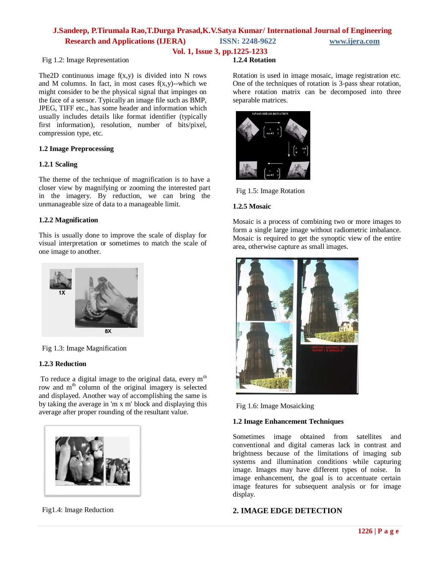**Vol. 1, Issue 3, pp.1225-1233**

### Fig 1.2: Image Representation

The 2D continuous image  $f(x,y)$  is divided into N rows and M columns. In fact, in most cases  $f(x,y)$ --which we might consider to be the physical signal that impinges on the face of a sensor. Typically an image file such as BMP, JPEG, TIFF etc., has some header and information which usually includes details like format identifier (typically first information), resolution, number of bits/pixel, compression type, etc.

### **1.2 Image Preprocessing**

### **1.2.1 Scaling**

The theme of the technique of magnification is to have a closer view by magnifying or zooming the interested part in the imagery. By reduction, we can bring the unmanageable size of data to a manageable limit.

### **1.2.2 Magnification**

This is usually done to improve the scale of display for visual interpretation or sometimes to match the scale of one image to another.



Fig 1.3: Image Magnification

### **1.2.3 Reduction**

To reduce a digital image to the original data, every  $m<sup>th</sup>$ row and m<sup>th</sup> column of the original imagery is selected and displayed. Another way of accomplishing the same is by taking the average in 'm x m' block and displaying this average after proper rounding of the resultant value.



Fig1.4: Image Reduction

### **1.2.4 Rotation**

Rotation is used in image mosaic, image registration etc. One of the techniques of rotation is 3-pass shear rotation, where rotation matrix can be decomposed into three separable matrices.



Fig 1.5: Image Rotation

### **1.2.5 Mosaic**

Mosaic is a process of combining two or more images to form a single large image without radiometric imbalance. Mosaic is required to get the synoptic view of the entire area, otherwise capture as small images.



Fig 1.6: Image Mosaicking

### **1.2 Image Enhancement Techniques**

Sometimes image obtained from satellites and conventional and digital cameras lack in contrast and brightness because of the limitations of imaging sub systems and illumination conditions while capturing image. Images may have different types of noise. In image enhancement, the goal is to accentuate certain image features for subsequent analysis or for image display.

### **2. IMAGE EDGE DETECTION**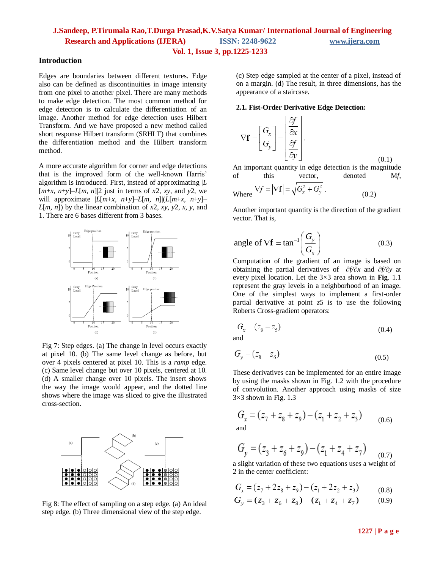### **Vol. 1, Issue 3, pp.1225-1233**

**Introduction**

Edges are boundaries between different textures. Edge also can be defined as discontinuities in image intensity from one pixel to another pixel. There are many methods to make edge detection. The most common method for edge detection is to calculate the differentiation of an image. Another method for edge detection uses Hilbert Transform. And we have proposed a new method called short response Hilbert transform (SRHLT) that combines the differentiation method and the Hilbert transform method.

A more accurate algorithm for corner and edge detections that is the improved form of the well-known Harris' algorithm is introduced. First, instead of approximating |*L*  $[m+x, n+y]$ –*L*[*m*, *n*]|2 just in terms of *x*2, *xy*, and *y*2, we will approximate  $|L[m+x, n+y]-L[m, n]|(L[m+x, n+y] L[m, n]$ ) by the linear combination of *x*2, *xy*, *y*2, *x*, *y*, and 1. There are 6 bases different from 3 bases.



Fig 7: Step edges. (a) The change in level occurs exactly at pixel 10. (b) The same level change as before, but over 4 pixels centered at pixel 10. This is a *ramp* edge. (c) Same level change but over 10 pixels, centered at 10. (d) A smaller change over 10 pixels. The insert shows the way the image would appear, and the dotted line shows where the image was sliced to give the illustrated cross-section.



Fig 8: The effect of sampling on a step edge. (a) An ideal step edge. (b) Three dimensional view of the step edge.

(c) Step edge sampled at the center of a pixel, instead of on a margin. (d) The result, in three dimensions, has the appearance of a staircase.

#### **2.1. Fist-Order Derivative Edge Detection:**

$$
\nabla \mathbf{f} = \begin{bmatrix} G_x \\ G_y \end{bmatrix} = \begin{bmatrix} \frac{\partial f}{\partial x} \\ \frac{\partial f}{\partial y} \end{bmatrix}.
$$
\n(0.1)

An important quantity in edge detection is the magnitude of this vector, denoted M*f*,

Where 
$$
\nabla f = |\nabla \mathbf{f}| = \sqrt{G_x^2 + G_y^2}
$$
 (0.2)

Another important quantity is the direction of the gradient vector. That is,

angle of 
$$
\nabla \mathbf{f} = \tan^{-1} \left( \frac{G_y}{G_x} \right)
$$
 (0.3)

Computation of the gradient of an image is based on obtaining the partial derivatives of ∂*f/*∂*x* and ∂*f/*∂*y* at every pixel location. Let the 3×3 area shown in **Fig**. 1.1 represent the gray levels in a neighborhood of an image. One of the simplest ways to implement a first-order partial derivative at point *z*5 is to use the following Roberts Cross-gradient operators:

$$
G_x = (z_9 - z_5) \tag{0.4}
$$

and

$$
G_y = (z_8 - z_6) \tag{0.5}
$$

These derivatives can be implemented for an entire image by using the masks shown in Fig. 1.2 with the procedure of convolution. Another approach using masks of size 3×3 shown in Fig. 1.3

$$
G_x = (z_7 + z_8 + z_9) - (z_1 + z_2 + z_3)
$$
 (0.6)  
and

$$
G_y = (z_3 + z_6 + z_9) - (z_1 + z_4 + z_7) \tag{0.7}
$$

a slight variation of these two equations uses a weight of 2 in the center coefficient:

$$
G_x = (z_7 + 2z_8 + z_9) - (z_1 + 2z_2 + z_3) \tag{0.8}
$$

$$
G_x = (z_7 + 2z_8 + z_9) - (z_1 + 2z_2 + z_3)
$$
(0.8)  

$$
G_y = (z_3 + z_6 + z_9) - (z_1 + z_4 + z_7)
$$
(0.9)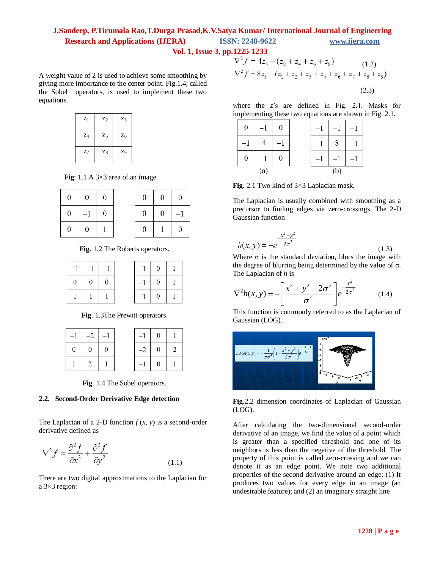**Vol. 1, Issue 3, pp.1225-1233**

A weight value of 2 is used to achieve some smoothing by giving more importance to the center point. Fig.1.4, called the Sobel operators, is used to implement these two equations.

| $Z_1$ | $Z_2$ | $Z_3$          |
|-------|-------|----------------|
| $Z_4$ | $Z_5$ | $Z_6$          |
| $Z_7$ | $Z_8$ | Z <sub>9</sub> |

 **Fig**: 1.1 A 3×3 area of an image.

| $\boldsymbol{0}$ | $\boldsymbol{0}$ | $\boldsymbol{0}$ | $\boldsymbol{0}$ | $\overline{0}$ |
|------------------|------------------|------------------|------------------|----------------|
| $\boldsymbol{0}$ | $-1$             | $\boldsymbol{0}$ | $\boldsymbol{0}$ | $\overline{0}$ |
| 0                | $\boldsymbol{0}$ |                  | $\boldsymbol{0}$ | 1              |

**Fig**. 1.2 The Roberts operators.

 $\overline{0}$ 

 $-1$ 

 $\overline{0}$ 

 $\mathbf{1}$ 1  $\mathbf{1}$ 

| $-1$           | $-1$           | $-1$           | $-1$ | $\theta$       |
|----------------|----------------|----------------|------|----------------|
| $\overline{0}$ | $\overline{0}$ | $\overline{0}$ | $-1$ | $\overline{0}$ |
|                |                |                | $-1$ | $\theta$       |

**Fig**. 1.3The Prewitt operators.

| $-1$   $-2$   $-1$ |  |        | $-1$ 0 1                                             |  |
|--------------------|--|--------|------------------------------------------------------|--|
| $0 \mid 0 \mid 0$  |  |        | $-2 \begin{array}{ c c c } \hline 0 & 2 \end{array}$ |  |
|                    |  | $-1$ 0 |                                                      |  |

**Fig**. 1.4 The Sobel operators.

### **2.2. Second-Order Derivative Edge detection**

The Laplacian of a 2-D function  $f(x, y)$  is a second-order derivative defined as

$$
\nabla^2 f = \frac{\partial^2 f}{\partial x^2} + \frac{\partial^2 f}{\partial y^2}
$$
 (1.1)

There are two digital approximations to the Laplacian for a 3×3 region:

$$
\nabla^2 f = 4z_5 - (z_2 + z_4 + z_6 + z_8)
$$
\n
$$
\nabla^2 f = 8z_5 - (z_1 + z_2 + z_3 + z_4 + z_6 + z_7 + z_8 + z_9)
$$
\n(1.2)\n(2.3)

where the *z*'s are defined in Fig. 2.1. Masks for implementing these two equations are shown in Fig. 2.1.

| $\boldsymbol{0}$ | $^{-1}$ | $\boldsymbol{0}$ |  | $-1$ | $\overline{1}$ |
|------------------|---------|------------------|--|------|----------------|
| -1               |         |                  |  | 8    |                |
| 0                | $-$ '   | 0                |  |      |                |
|                  | (a)     |                  |  | (b)  |                |

**Fig**. 2.1 Two kind of 3×3 Laplacian mask.

The Laplacian is usually combined with smoothing as a precursor to finding edges via zero-crossings. The 2-D Gaussian function

$$
h(x, y) = -e^{-\frac{x^2 + y^2}{2\sigma^2}}
$$
\n(1.3)

Where  $\sigma$  is the standard deviation, blurs the image with the degree of blurring being determined by the value of  $\sigma$ . The Laplacian of *h* is

$$
\nabla^2 h(x, y) = -\left[\frac{x^2 + y^2 - 2\sigma^2}{\sigma^4}\right] e^{-\frac{r^2}{2\sigma^2}} \qquad (1.4)
$$

This function is commonly referred to as the Laplacian of Gaussian (LOG).



**Fig**.2.2 dimension coordinates of Laplacian of Gaussian (LOG).

After calculating the two-dimensional second-order derivative of an image, we find the value of a point which is greater than a specified threshold and one of its neighbors is less than the negative of the threshold. The property of this point is called zero-crossing and we can denote it as an edge point. We note two additional properties of the second derivative around an edge: (1) It produces two values for every edge in an image (an undesirable feature); and (2) an imaginary straight line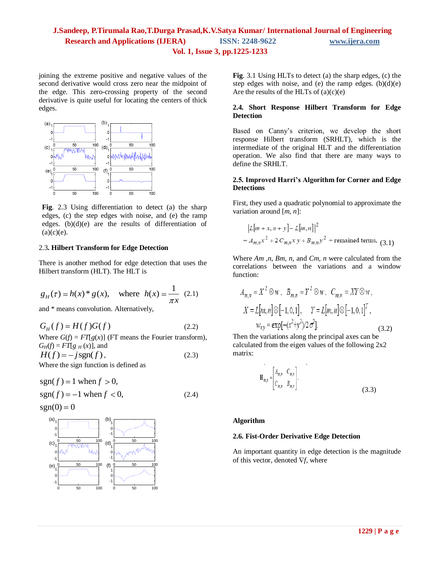**Vol. 1, Issue 3, pp.1225-1233**

joining the extreme positive and negative values of the second derivative would cross zero near the midpoint of the edge. This zero-crossing property of the second derivative is quite useful for locating the centers of thick edges.



**Fig**. 2.3 Using differentiation to detect (a) the sharp edges, (c) the step edges with noise, and (e) the ramp edges. (b)(d)(e) are the results of differentiation of  $(a)(c)(e)$ .

### 2.3**. Hilbert Transform for Edge Detection**

There is another method for edge detection that uses the Hilbert transform (HLT). The HLT is

$$
g_H(\tau) = h(x)^* g(x)
$$
, where  $h(x) = \frac{1}{\pi x}$  (2.1)

and \* means convolution. Alternatively,

 $G_{H}(f) = H(f)G(f)$ (2.2)

Where  $G(f) = FT[g(x)]$  (FT means the Fourier transform),  $G_H(f) = FT[g_H(x)]$ , and  $H(f) = -jsgn(f)$ , (2.3)

Where the sign function is defined as

$$
sgn(f) = 1 when f > 0,sgn(f) = -1 when f < 0,
$$
\n(2.4)

$$
sgn(0) = 0
$$



**Fig**. 3.1 Using HLTs to detect (a) the sharp edges, (c) the step edges with noise, and (e) the ramp edges.  $(b)(d)(e)$ Are the results of the HLTs of  $(a)(c)(e)$ 

### **2.4. Short Response Hilbert Transform for Edge Detection**

Based on Canny's criterion, we develop the short response Hilbert transform (SRHLT), which is the intermediate of the original HLT and the differentiation operation. We also find that there are many ways to define the SRHLT.

### **2.5. Improved Harri's Algorithm for Corner and Edge Detections**

First, they used a quadratic polynomial to approximate the variation around [*m*, *n*]:

$$
|L[m + x, n + y] - L[m, n]|^{2}
$$
  
=  $A_{m,n}x^{2} + 2C_{m,n}xy + B_{m,n}y^{2}$  + remained terms, (3.1)

Where *Am* ,*n*, *Bm*, *n*, and *Cm*, *n* were calculated from the correlations between the variations and a window function:

$$
A_{m,n} = X^2 \otimes w, \quad B_{m,n} = Y^2 \otimes w, \quad C_{m,n} = XY \otimes w,
$$
  
\n
$$
X = L[m,n] \otimes [-1,0,1], \quad Y = L[m,n] \otimes [-1,0,1]^T,
$$
  
\n
$$
w_{xy} = \exp[-(x^2 + y^2)/2\sigma^2].
$$
 (3.2)

Then the variations along the principal axes can be calculated from the eigen values of the following 2x2 matrix:

$$
\mathbf{H}_{m,n} = \begin{bmatrix} A_{m,n} & C_{m,n} \\ C_{m,n} & B_{m,n} \end{bmatrix} . \tag{3.3}
$$

### **Algorithm**

### **2.6. Fist-Order Derivative Edge Detection**

An important quantity in edge detection is the magnitude of this vector, denoted  $\nabla f$ , where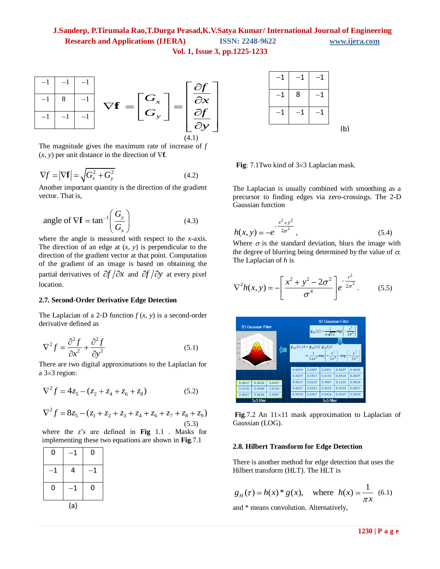

The magnitude gives the maximum rate of increase of *f*  $(x, y)$  per unit distance in the direction of  $\nabla$ **f**.

$$
\nabla f = |\nabla \mathbf{f}| = \sqrt{G_x^2 + G_y^2}
$$
 (4.2)

Another important quantity is the direction of the gradient vector. That is,

angle of 
$$
\nabla \mathbf{f} = \tan^{-1} \left( \frac{G_y}{G_x} \right)
$$
 (4.3)

where the angle is measured with respect to the *x*-axis. The direction of an edge at  $(x, y)$  is perpendicular to the direction of the gradient vector at that point. Computation of the gradient of an image is based on obtaining the partial derivatives of  $\partial f / \partial x$  and  $\partial f / \partial y$  at every pixel location.

### **2.7. Second-Order Derivative Edge Detection**

The Laplacian of a 2-D function  $f(x, y)$  is a second-order derivative defined as

$$
\nabla^2 f = \frac{\partial^2 f}{\partial x^2} + \frac{\partial^2 f}{\partial y^2}
$$
 (5.1)

There are two digital approximations to the Laplacian for a  $3\times 3$  region:

$$
\nabla^2 f = 4z_5 - (z_2 + z_4 + z_6 + z_8)
$$
 (5.2)

$$
\nabla^2 f = 8z_5 - (z_1 + z_2 + z_3 + z_4 + z_6 + z_7 + z_8 + z_9)
$$
\n
$$
(3.2)
$$
\n
$$
\nabla^2 f = 8z_5 - (z_1 + z_2 + z_3 + z_4 + z_6 + z_7 + z_8 + z_9)
$$
\n
$$
(5.3)
$$

where the *z*'s are defined in **Fig** 1.1 . Masks for implementing these two equations are shown in **Fig**.7.1

| 0   | 1 | 0            |  |  |  |
|-----|---|--------------|--|--|--|
| 1   | 4 | $\mathbf{1}$ |  |  |  |
| 0   | 1 | 0            |  |  |  |
| (a) |   |              |  |  |  |



**Fig**: 7.1Two kind of 3×3 Laplacian mask.

The Laplacian is usually combined with smoothing as a precursor to finding edges via zero-crossings. The 2-D Gaussian function

$$
h(x, y) = -e^{-\frac{x^2 + y^2}{2\sigma^2}},
$$
\n(5.4)

Where  $\sigma$  is the standard deviation, blurs the image with the degree of blurring being determined by the value of  $\sigma$ . The Laplacian of *h* is

$$
\nabla^2 h(x, y) = -\left[\frac{x^2 + y^2 - 2\sigma^2}{\sigma^4}\right] e^{-\frac{r^2}{2\sigma^2}}.
$$
 (5.5)



**Fig.7.2** An  $11 \times 11$  mask approximation to Laplacian of Gaussian (LOG).

### **2.8. Hilbert Transform for Edge Detection**

There is another method for edge detection that uses the Hilbert transform (HLT). The HLT is

$$
g_H(\tau) = h(x)^* g(x)
$$
, where  $h(x) = \frac{1}{\pi x}$  (6.1)

and \* means convolution. Alternatively,

1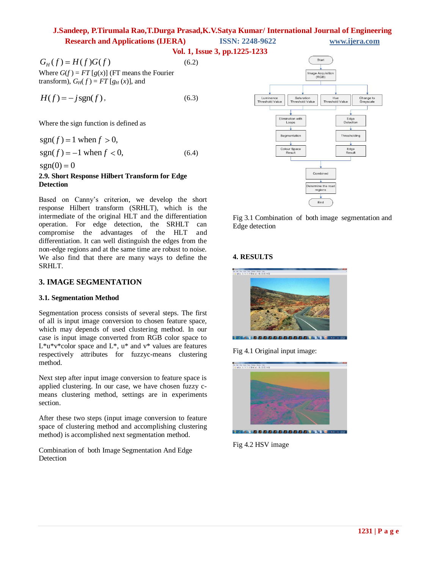**Vol. 1, Issue 3, pp.1225-1233**

(6.2)

Where  $G(f) = FT[g(x)]$  (FT means the Fourier transform),  $G_H(f) = FT[g_H(x)]$ , and

$$
H(f) = -j\operatorname{sgn}(f),\tag{6.3}
$$

Where the sign function is defined as

 $sgn(f) = 1$  when  $f > 0$ ,  $sgn(f) = -1$  when  $f < 0$ , (6.4)

 $sgn(0) = 0$ 

### **2.9. Short Response Hilbert Transform for Edge Detection**

Based on Canny's criterion, we develop the short response Hilbert transform (SRHLT), which is the intermediate of the original HLT and the differentiation operation. For edge detection, the SRHLT can compromise the advantages of the HLT and differentiation. It can well distinguish the edges from the non-edge regions and at the same time are robust to noise. We also find that there are many ways to define the SRHLT.

## **3. IMAGE SEGMENTATION**

### **3.1. Segmentation Method**

Segmentation process consists of several steps. The first of all is input image conversion to chosen feature space, which may depends of used clustering method. In our case is input image converted from RGB color space to  $L^*u^*v^*color$  space and  $L^*$ ,  $u^*$  and  $v^*$  values are features respectively attributes for fuzzyc-means clustering method.

Next step after input image conversion to feature space is applied clustering. In our case, we have chosen fuzzy cmeans clustering method, settings are in experiments section.

After these two steps (input image conversion to feature space of clustering method and accomplishing clustering method) is accomplished next segmentation method.

Combination of both Image Segmentation And Edge Detection



Fig 3.1 Combination of both image segmentation and Edge detection

# **4. RESULTS**



Fig 4.1 Original input image:



Fig 4.2 HSV image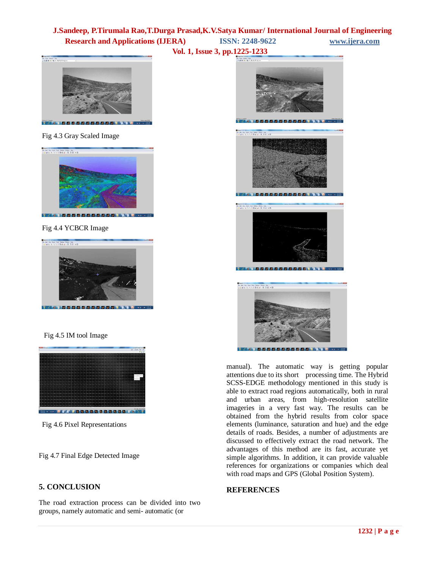**Vol. 1, Issue 3, pp.1225-1233**

**Depthson**<br>The Southern House<br>(200<mark>0)</mark> No. 5550600 6 8 9 5 6 5 6 5 6 5 6 5 6 6 6 6 6 6 6 7 6 8





Fig 4.4 YCBCR Image



Fig 4.5 IM tool Image



Fig 4.6 Pixel Representations

Fig 4.7 Final Edge Detected Image

# **5. CONCLUSION**

The road extraction process can be divided into two groups, namely automatic and semi- automatic (or



manual). The automatic way is getting popular attentions due to its short processing time. The Hybrid SCSS-EDGE methodology mentioned in this study is able to extract road regions automatically, both in rural and urban areas, from high-resolution satellite imageries in a very fast way. The results can be obtained from the hybrid results from color space elements (luminance, saturation and hue) and the edge details of roads. Besides, a number of adjustments are discussed to effectively extract the road network. The advantages of this method are its fast, accurate yet simple algorithms. In addition, it can provide valuable references for organizations or companies which deal with road maps and GPS (Global Position System).

# **REFERENCES**